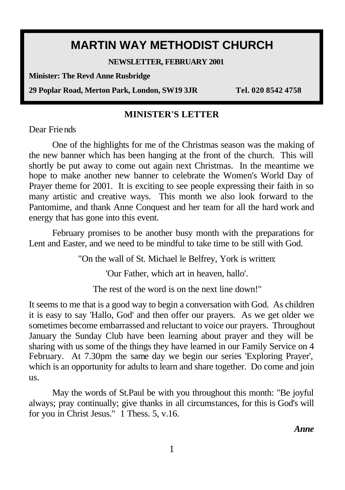# **MARTIN WAY METHODIST CHURCH**

**NEWSLETTER, FEBRUARY 2001** 

**Minister: The Revd Anne Rusbridge**

**29 Poplar Road, Merton Park, London, SW19 3JR Tel. 020 8542 4758**

#### **MINISTER'S LETTER**

Dear Friends

One of the highlights for me of the Christmas season was the making of the new banner which has been hanging at the front of the church. This will shortly be put away to come out again next Christmas. In the meantime we hope to make another new banner to celebrate the Women's World Day of Prayer theme for 2001. It is exciting to see people expressing their faith in so many artistic and creative ways. This month we also look forward to the Pantomime, and thank Anne Conquest and her team for all the hard work and energy that has gone into this event.

February promises to be another busy month with the preparations for Lent and Easter, and we need to be mindful to take time to be still with God.

"On the wall of St. Michael le Belfrey, York is written:

'Our Father, which art in heaven, hallo'.

The rest of the word is on the next line down!"

It seems to me that is a good way to begin a conversation with God. As children it is easy to say 'Hallo, God' and then offer our prayers. As we get older we sometimes become embarrassed and reluctant to voice our prayers. Throughout January the Sunday Club have been learning about prayer and they will be sharing with us some of the things they have learned in our Family Service on 4 February. At 7.30pm the same day we begin our series 'Exploring Prayer', which is an opportunity for adults to learn and share together. Do come and join us.

May the words of St.Paul be with you throughout this month: "Be joyful always; pray continually; give thanks in all circumstances, for this is God's will for you in Christ Jesus." 1 Thess. 5, v.16.

*Anne*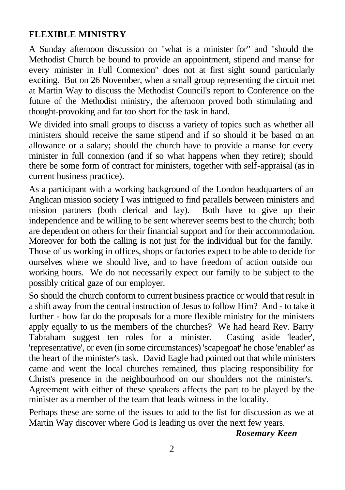## **FLEXIBLE MINISTRY**

A Sunday afternoon discussion on "what is a minister for" and "should the Methodist Church be bound to provide an appointment, stipend and manse for every minister in Full Connexion" does not at first sight sound particularly exciting. But on 26 November, when a small group representing the circuit met at Martin Way to discuss the Methodist Council's report to Conference on the future of the Methodist ministry, the afternoon proved both stimulating and thought-provoking and far too short for the task in hand.

We divided into small groups to discuss a variety of topics such as whether all ministers should receive the same stipend and if so should it be based on an allowance or a salary; should the church have to provide a manse for every minister in full connexion (and if so what happens when they retire); should there be some form of contract for ministers, together with self-appraisal (as in current business practice).

As a participant with a working background of the London headquarters of an Anglican mission society I was intrigued to find parallels between ministers and mission partners (both clerical and lay). Both have to give up their independence and be willing to be sent wherever seems best to the church; both are dependent on others for their financial support and for their accommodation. Moreover for both the calling is not just for the individual but for the family. Those of us working in offices, shops or factories expect to be able to decide for ourselves where we should live, and to have freedom of action outside our

working hours. We do not necessarily expect our family to be subject to the possibly critical gaze of our employer.

So should the church conform to current business practice or would that result in a shift away from the central instruction of Jesus to follow Him? And - to take it further - how far do the proposals for a more flexible ministry for the ministers apply equally to us the members of the churches? We had heard Rev. Barry Tabraham suggest ten roles for a minister. Casting aside 'leader', 'representative', or even (in some circumstances) 'scapegoat' he chose 'enabler' as the heart of the minister's task. David Eagle had pointed out that while ministers came and went the local churches remained, thus placing responsibility for Christ's presence in the neighbourhood on our shoulders not the minister's. Agreement with either of these speakers affects the part to be played by the minister as a member of the team that leads witness in the locality.

Perhaps these are some of the issues to add to the list for discussion as we at Martin Way discover where God is leading us over the next few years.

#### *Rosemary Keen*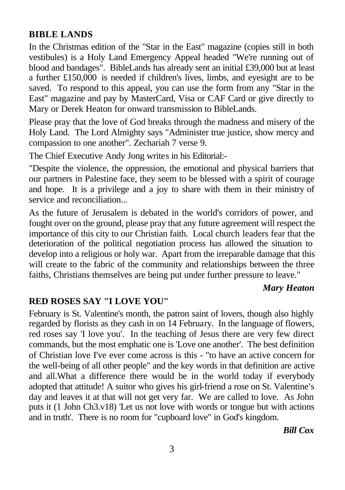## **BIBLE LANDS**

In the Christmas edition of the "Star in the East" magazine (copies still in both vestibules) is a Holy Land Emergency Appeal headed "We're running out of blood and bandages". BibleLands has already sent an initial £39,000 but at least a further £150,000 is needed if children's lives, limbs, and eyesight are to be saved. To respond to this appeal, you can use the form from any "Star in the East" magazine and pay by MasterCard, Visa or CAF Card or give directly to Mary or Derek Heaton for onward transmission to BibleLands.

Please pray that the love of God breaks through the madness and misery of the Holy Land. The Lord Almighty says "Administer true justice, show mercy and compassion to one another". Zechariah 7 verse 9.

The Chief Executive Andy Jong writes in his Editorial:-

"Despite the violence, the oppression, the emotional and physical barriers that our partners in Palestine face, they seem to be blessed with a spirit of courage and hope. It is a privilege and a joy to share with them in their ministry of service and reconciliation...

As the future of Jerusalem is debated in the world's corridors of power, and fought over on the ground, please pray that any future agreement will respect the importance of this city to our Christian faith. Local church leaders fear that the deterioration of the political negotiation process has allowed the situation to develop into a religious or holy war. Apart from the irreparable damage that this will create to the fabric of the community and relationships between the three faiths, Christians themselves are being put under further pressure to leave."

#### *Mary Heaton*

### **RED ROSES SAY "I LOVE YOU"**

February is St. Valentine's month, the patron saint of lovers, though also highly regarded by florists as they cash in on 14 February. In the language of flowers, red roses say 'I love you'. In the teaching of Jesus there are very few direct commands, but the most emphatic one is 'Love one another'. The best definition of Christian love I've ever come across is this - "to have an active concern for the well-being of all other people" and the key words in that definition are active and all.What a difference there would be in the world today if everybody adopted that attitude! A suitor who gives his girl-friend a rose on St. Valentine's day and leaves it at that will not get very far. We are called to love. As John puts it (1 John Ch3.v18) 'Let us not love with words or tongue but with actions and in truth'. There is no room for "cupboard love" in God's kingdom.

*Bill Cox*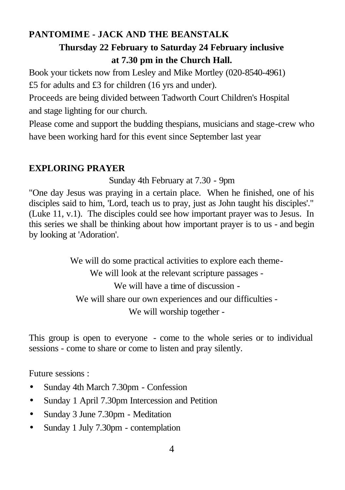## **PANTOMIME - JACK AND THE BEANSTALK Thursday 22 February to Saturday 24 February inclusive at 7.30 pm in the Church Hall.**

Book your tickets now from Lesley and Mike Mortley (020-8540-4961) £5 for adults and £3 for children (16 yrs and under).

Proceeds are being divided between Tadworth Court Children's Hospital and stage lighting for our church.

Please come and support the budding thespians, musicians and stage-crew who have been working hard for this event since September last year

### **EXPLORING PRAYER**

Sunday 4th February at 7.30 - 9pm

"One day Jesus was praying in a certain place. When he finished, one of his disciples said to him, 'Lord, teach us to pray, just as John taught his disciples'." (Luke 11, v.1). The disciples could see how important prayer was to Jesus. In this series we shall be thinking about how important prayer is to us - and begin by looking at 'Adoration'.

> We will do some practical activities to explore each theme-We will look at the relevant scripture passages - We will have a time of discussion - We will share our own experiences and our difficulties - We will worship together -

This group is open to everyone - come to the whole series or to individual sessions - come to share or come to listen and pray silently.

Future sessions :

- Sunday 4th March 7.30pm Confession
- Sunday 1 April 7.30pm Intercession and Petition
- Sunday 3 June 7.30pm Meditation
- Sunday 1 July 7.30pm contemplation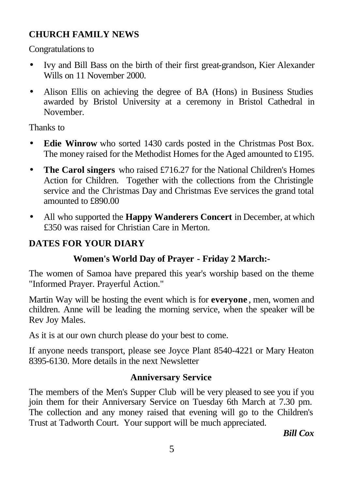## **CHURCH FAMILY NEWS**

Congratulations to

- Ivy and Bill Bass on the birth of their first great-grandson, Kier Alexander Wills on 11 November 2000.
- Alison Ellis on achieving the degree of BA (Hons) in Business Studies awarded by Bristol University at a ceremony in Bristol Cathedral in November.

Thanks to

- **Edie Winrow** who sorted 1430 cards posted in the Christmas Post Box. The money raised for the Methodist Homes for the Aged amounted to £195.
- **The Carol singers** who raised £716.27 for the National Children's Homes Action for Children. Together with the collections from the Christingle service and the Christmas Day and Christmas Eve services the grand total amounted to £890.00
- All who supported the **Happy Wanderers Concert** in December, at which £350 was raised for Christian Care in Merton.

# **DATES FOR YOUR DIARY**

# **Women's World Day of Prayer - Friday 2 March:-**

The women of Samoa have prepared this year's worship based on the theme "Informed Prayer. Prayerful Action."

Martin Way will be hosting the event which is for **everyone** , men, women and children. Anne will be leading the morning service, when the speaker will be Rev Joy Males.

As it is at our own church please do your best to come.

If anyone needs transport, please see Joyce Plant 8540-4221 or Mary Heaton 8395-6130. More details in the next Newsletter

## **Anniversary Service**

The members of the Men's Supper Club will be very pleased to see you if you join them for their Anniversary Service on Tuesday 6th March at 7.30 pm. The collection and any money raised that evening will go to the Children's Trust at Tadworth Court. Your support will be much appreciated.

*Bill Cox*